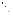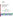# **Environmental Technology Verification Program**  Advanced Monitoring Systems Center

Test/QA Plan for Verification of Multi-Parameter Water Monitors for Distribution Systems

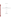## **TEST/QA PLAN**

**for** 

# **Verification of Multi-Parameter Water Monitors for Distribution Systems**

**August 2, 2004** 

**Prepared by** 

**Battelle 505 King Avenue Columbus, OH 43201-2693**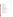#### A2 TABLE OF CONTENTS

#### Section Page

| $\overline{A}$<br>A <sub>1</sub><br>A <sub>2</sub><br>A <sub>3</sub> | PROJECT MANAGEMENT               |
|----------------------------------------------------------------------|----------------------------------|
| A <sub>4</sub>                                                       |                                  |
| A <sub>5</sub>                                                       |                                  |
| A <sub>6</sub>                                                       |                                  |
| A7                                                                   |                                  |
| A8                                                                   |                                  |
| A <sup>9</sup>                                                       |                                  |
| $\mathbf{B}$                                                         | MEASUREMENT AND DATA ACQUISITION |
| B1                                                                   |                                  |
| B <sub>2</sub>                                                       |                                  |
| B <sub>3</sub>                                                       |                                  |
| B <sub>4</sub>                                                       |                                  |
| B <sub>5</sub>                                                       |                                  |
| <b>B6</b>                                                            |                                  |
| B7                                                                   |                                  |
| <b>B8</b>                                                            |                                  |
| <b>B9</b>                                                            |                                  |
| <b>B10</b>                                                           |                                  |
| $\mathcal{C}$                                                        | ASSESSMENT AND OVERSIGHT         |
| C <sub>1</sub>                                                       |                                  |
| C <sub>2</sub>                                                       |                                  |
| D                                                                    | DATA VALIDATION AND USABILITY    |
| D1                                                                   |                                  |
| D2                                                                   |                                  |
| D <sub>3</sub>                                                       |                                  |
| E                                                                    |                                  |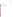#### **List of Figures** Page

### List of Tables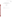### ETV Advanced Monitoring Systems Center

Test/QA Plan for Verification of Multi-Parameter Water Monitors for Distribution Systems

Version 1

August 4, 2004

APPROVAL:

Name \_\_\_\_\_\_\_\_\_\_\_\_\_\_\_\_\_\_\_\_\_\_\_\_\_\_\_\_\_\_\_\_\_\_

Company \_\_\_\_\_\_\_\_\_\_\_\_\_\_\_\_\_\_\_\_\_\_\_\_\_\_\_\_\_\_\_

Date \_\_\_\_\_\_\_\_\_\_\_\_\_\_\_\_\_\_\_\_\_\_\_\_\_\_\_\_\_\_\_\_\_\_\_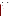#### A3 DISTRIBUTION LIST

Alex Gordon Prominent Fluid Controls Inc. 136 Industry Drive Pittsburgh, PA 15275

Beth Clark Water Security and Technologies, Inc. 159 East Brimfield Road Holland, MA 01521

Jim Standard U.S. Filter 1901 W. Garden Rd. Vineland, NJ 08360

John Becker Analytical Technologies 6 Iron Bridge Drive Collegeville, PA 19426

Richard Baril Rosemount Analytical 2400 Barranca Parkway Irvine, CA 92606

Uwe Michalak Sensicore, Inc. 745 Phoenix Drive Ann Arbor, MI 48108

Daniel Kroll Hach Company 5600 Lindbergh Drive Loveland, CO 80538-8998

Martin Harmless Clarion Sensing Systems 3901 W. 30th St. Indianapolis, IN 46222

Robert Menegotto

Man-Tech Associates 600 Main Street Tonawanda, NY 14150

Elizabeth A. Betz U.S. Environmental Protection Agency-**HEASD** National Exposure Research Laboratory E205-01 EPA Mailroom Research Triangle Park, NC 27711

Robert Fuerst U.S. Environmental Protection Agency-**HEASD** National Exposure Research Laboratory D205-05 EPA Mailroom Research Triangle Park, NC 27711

Karen Riggs Amy Dindal Ryan James Zachary Willenberg Battelle 505 King Ave. Columbus, OH 43201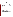#### **SECTION A**

#### **PROJECT MANAGEMENT**

#### **A4 VERIFICATION TEST ORGANIZATION**

The verification test will be conducted under the auspices of the U.S. Environmental Protection Agency (EPA) through the Environmental Technology Verification (ETV) Program. It will be performed by Battelle, which is managing the ETV Advanced Monitoring Systems (AMS) Center through a cooperative agreement with EPA. The scope of the AMS Center covers verification of monitoring technologies for contaminants and natural species in air, water, and soil.

The day to day operations of this verification test will be coordinated and supervised by Battelle personnel, with the participation of the vendors who will be having the performance of their multi-parameter water monitors verified. The testing will occur at the EPA's Testing and Evaluation (T&E) Facility in Cincinnati, Ohio. Staff from the T&E Facility will participate in this test by interfacing the technologies with the T&E Facility pipe loops, which use water from the City of Cincinnati distribution system, performing the reference analyses, and when necessary, altering the conditions of the water within the pipe loops. The pipe loops used for testing are designed to simulate conditions within water distribution systems. Vendor representatives will install, maintain, and operate their respective technologies throughout the test unless they give written consent for Battelle staff to carry out these activities. Quality assurance (QA) oversight will be provided by the Battelle Quality Manager and the EPA AMS Center Quality Manager at her discretion. The organization chart in Figure 1 identifies the responsibilities of the organizations and individuals associated with the verification test. Roles and responsibilities are defined further below.

A4.1 Battelle

Dr. Ryan James is the AMS Center Verification Test Coordinator. In this role, Dr. James will have overall responsibility for ensuring that the technical, schedule, and cost goals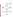

**Figure 1. Organization Chart**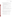established for the verification test are met. Specifically, he will:

- Assemble a team of qualified technical staff to conduct the verification test.
- Direct the team (Battelle, EPA, and  $T&E$  Facility staff) performing the verification test in accordance with the test/QA plan.
- Ensure that all quality procedures specified in the test/QA plan and in the AMS Center Quality Management  $Plan<sup>1</sup> (QMP)$  are followed.
- Prepare the draft and final test/QA plan, verification reports, and verification statements.
- Revise the draft test/QA plan, verification reports, and verification statements in response to reviewers' comments.
- Respond to any issues raised in assessment reports and audits, including instituting corrective action as necessary.
- Serve as the primary point of contact for vendor representatives.
- Coordinate distribution of the final test/QA plan, verification reports, and statements.
- Establish a budget for the verification test and manage staff to ensure the budget is not exceeded.
- Ensure that confidentiality of sensitive vendor information is maintained.

Ms. Amy Dindal is a Verification Testing Leader for the AMS Center. Ms. Dindal will provide technical guidance and oversee the various stages of verification testing. She will

- Support Dr. James in preparing the test/QA plan and organizing the testing.
- Review the draft and final test/QA plan.
- Review the draft and final verification reports and verification statements.

Ms. Karen Riggs is Battelle's manager for the AMS Center. Ms. Riggs will

- Review the draft and final test/QA plan.
- Review the draft and final verification reports and verification statements.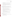- Ensure that necessary Battelle resources, including staff and facilities, are committed to the verification test.
- Ensure that confidentiality of sensitive vendor information is maintained.
- Support Dr. James in responding to any issues raised in assessment reports and audits.
- Maintain communication with EPA's technical and quality managers.
- Facilitate a stop work order if Battelle or EPA QA staff discovers adverse findings that will compromise test results.

Battelle Technical Staff will conduct the testing of the multi-parameter water monitors during the verification test. Battelle staff will be on-site at the EPA T&E Facility during the entire verification test. The responsibilities of the technical staff will be to:

- Maintain and operate the technologies if desired by the vendors and proper training is provided.
- Collect the reference samples from the distribution system.
- Prepare contaminant solutions for injection into the T&E Facility pipe loops.
- Perform the verification testing as described in the test/QA plan.
- Make qualitative observations about the maintenance and operation of the multiparameter water monitors.
- Collect the data from each multi-parameter water monitor and transmit it to the Verification Test Coordinator on a daily basis.
- Troubleshoot any problems with the multi-parameter water monitors and communicate them to the Verification Test Coordinator immediately.

Mr. Zachary Willenberg is Battelle's Quality Manager for the AMS Center. Mr. Willenberg will:

- Review the draft and final test/QA plan.
- Conduct a technical systems audit once during the verification test, or designate other QA staff to conduct the audit.
- Audit at least  $10\%$  of the verification data.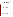- Prepare and distribute an assessment report for each audit.
- Verify implementation of any necessary corrective action.
- Issue a stop work order if self audits indicate that data quality is being compromised; notify Battelle's AMS Center Manager if a stop work order is issued.
- Provide a summary of the QA/QC activities and results for the verification reports.
- Review the draft and final verification reports and verification statements.
- Assume overall responsibility for ensuring that the test/QA plan is followed.

#### A4.2 Vendors

The responsibilities of the vendor representatives are as follows:

- Review the draft test/QA plan.
- Approve the test/QA plan prior to test initiation.
- Provide two off-the-shelf multi-parameter water monitors for evaluation during the verification test.
- Provide all other equipment/supplies/reagents/consumables needed to operate their monitors for the duration of the verification test.
- Either supply a representative to install, maintain, and operate their technology throughout the test, or provide written consent and instructions for Battelle staff to carry out these activities.
- Provide written instructions for operation of multi-parameter water monitors, including a daily checklist of maintenance activities.
- Review the draft verification report and statement.

#### A4.3 EPA

EPA's responsibilities in the AMS Center are based on the requirements stated in the "Environmental Technology Verification Program Quality Management Plan" (EPA QMP)<sup>2</sup>. The roles of the specific EPA staff are as follows: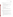Ms. Elizabeth Betz is EPA's AMS Center Quality Manager. For the verification test, Ms. Betz will:

- Review the draft test/ $QA$  plan.
- Perform at her option one external technical system audit during the verification test.
- Notify the EPA AMS Center Manager of the need for a stop work order if external audit indicates that data quality is being compromised.
- Prepare and distribute an assessment report summarizing results of external audit.
- Review draft verification reports and statements.

Mr. Robert Fuerst is EPA's manager for the AMS Center. Mr. Fuerst will:

- Review the draft test/QA plan.
- Approve the final test/QA plan.
- Review the draft verification reports and statements.
- Oversee the EPA review process for the verification reports and statements.
- Coordinate the submission of verification reports and statements for final EPA approval.

Mr. Roy Haught is the Branch Chief at EPA's Water Quality Management Branch within the Office of Research and Development, National Risk Management Research Laboratory. Dr. Haught will host the verification test at EPA's T&E Facility and:

- Provide Battelle and vendor personnel access to the T&E Facility during the verification test.
- Provide T&E Facility technical staff (EPA or contractor) to assist in interfacing the multi-parameter water monitors with the distribution system.
- Provide T&E Facility technical staff (EPA or contractor) and equipment to perform standard laboratory reference method analyses of the water quality parameters being measured by the multi-parameter water monitors.
- Provide all reference measurement data to Battelle electronically, in mutually agreed upon format.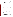- Provide T&E Facility technical staff (EPA or contractor) and equipment to control the flow of pipe loop water as directed by the test/QA plan or the Verification Test Coordinator.
- Provide T&E Facility technical staff (EPA or contractor) and equipment to change the conditions of the pipe loop water as directed by the test/QA plan or the Verification Test Coordinator.
- Provide training records and information, upon request, regarding education and experience of each EPA or contractor staff involved in the verification test.
- Assist in Battelle's reporting of the reference measurements and associated QA/QC results.
- Review portions of the draft verification reports to assure accurate descriptions of the T&E Facility operations and to provide technical insights on verification results.
- Provide necessary safety instructions to Battelle technical staff and vendor representatives for operations at the T&E Facility, EPA and the T&E Facility will maintain stop work authority as it applies to safety and pipe loop operational issues.

#### **A5 BACKGROUND**

The ETV Program's AMS Center does third-party verification testing of commercially available technologies that detect natural species and contaminants in air, water, and soil. A stakeholder committee of buyers and users of such technologies recommend the technology categories and technologies within those categories as priorities for testing. Multi-parameter water monitors for distribution systems were identified as a priority technology category through the AMS Center stakeholder process.

#### **A6 VERIFICATION TEST DESCRIPTION AND SCHEDULE**

#### A6.1 Summary of Technology Category

The multi-parameter water monitors for distribution systems to be tested during this verification test consist of instrument packages that can be connected to or inserted into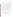distribution system pipes for continuous monitoring. Also included in this technology category are technologies that can be programmed to automatically sample and analyze distribution system water at regular intervals, as well as handheld technologies requiring technicians to manually collect samples and perform the analyses. The monitors must be able to measure residual/free chlorine as well as at least one other water quality parameter. Residual/free chlorine is a particularly important water-quality parameter because changes in its concentration can indicate the presence of contamination within a distribution system and the majority of water utilities in the United States use chlorination for disinfection. Other water-quality parameters that these technologies measure may include: alkalinity, pH, dissolved oxygen, oxidation-reduction potential, temperature, turbidity, conductivity, ammonia, calcium, total organic carbon, and monochloramine. The number and selection of water quality parameters will be determined by each monitor's capabilities. In addition to measuring the above water quality parameters, some of the multi-parameter water monitors for distributions systems have the added capability of using the measured water quality parameter data to determine the identity of an injected contaminant. This verification test will assess the performance of each multi-parameter water monitor for distribution systems relative to key verification parameters including accuracy, interunit reproducibility, and including comparison to reference measurements where possible. In performing the verification test, Battelle will follow the technical and QA procedures specified in this test/QA plan and will comply with the data quality requirements in the AMS Center QMP<sup>1</sup>.

#### A6.2 Verification Schedule

As shown in Figure 2, the verification test of multi-parameter water monitors for distribution systems will begin in August 2004 and last through October 2004. At the close of testing, individual reports will be drafted for each technology, reviewed, and submitted to EPA for final signature. All documents will be submitted to EPA in electronic (WordPerfect and Adobe portable document format [pdf]) and hard copy formats.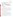| <b>Testing Stage</b>                     | <b>August 2004</b> |  | September 2004 |  |  | October 2004 |  |  |  |  |  |
|------------------------------------------|--------------------|--|----------------|--|--|--------------|--|--|--|--|--|
| 1 - Accuracy                             |                    |  |                |  |  |              |  |  |  |  |  |
| 2 - Contaminant<br><b>Injection</b>      |                    |  |                |  |  |              |  |  |  |  |  |
| 3 - Extended<br><b>Deployment</b>        |                    |  |                |  |  |              |  |  |  |  |  |
| 4 - Contaminant<br><b>Identification</b> |                    |  |                |  |  |              |  |  |  |  |  |

#### **Figure 2. Verification Schedule**

#### **A7 QUALITY OBJECTIVES**

This verification test will evaluate the performance of multi-parameter water monitors for distribution systems. This will include a comparison of the monitor results to the results of standard laboratory reference methods. The quality of the reference measurements will be monitored by the inclusion of blank, duplicate, and performance evaluation (PE) audit samples. The PE audit samples will be analyzed by an instrument or calibration standards that are different from those used for the rest of the reference analyses. These samples are meant to independently confirm that the reference measurements are being performed correctly with accurate results. Control limits on the duplicate and PE samples are given in Section C1.

#### **A8 SPECIAL TRAINING/CERTIFICATION**

Documentation on training related to standard analytical chemistry methodology is maintained for Battelle and T&E Facility technical staff in training files at the respective locations. The Battelle Quality Manager will verify the presence of appropriate training records prior to the start of testing. If the vendors request that Battelle technical staff operate and maintain their monitors during the verification test, the vendors will be required to train the Battelle technical staff prior to the start of testing. Battelle will document this training with a consent form, signed by the vendor, that states which specific Battelle technical staff have been trained to use their monitor. Battelle technical staff will have a minimum of a bachelor's degree in science/engineering or have equivalent work experience.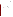#### **A9 DOCUMENTATION AND RECORDS**

The records for this verification test will be contained in the test/QA plan, the protocols, chain of custody forms, laboratory record books (LRB), data collection forms, electronic files (both raw data and spreadsheets), and the final verification report. All of these records will be maintained in the Verification Test Coordinator's office during the test and will be transferred to permanent storage at Battelle's Records Management Office at the conclusion of the verification test. All Battelle LRBs are stored indefinitely, either by the Verification Test Coordinator or Battelle's Records Management Office. EPA will be notified before disposal of any files. The results from the reference measurements made by the T&E Facility technical staff will be submitted to Battelle immediately upon making the measurement and obtaining the results of the analyses. Section B10 further details the data recording practices and responsibilities.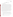### **SECTION B MEASUREMENT AND DATA ACQUISITION**

#### **B1 EXPERIMENTAL DESIGN**

This verification test will specifically address verification of multi-parameter water monitors for distribution systems by evaluating the accuracy of the water quality measurements made by each technology in finished drinking water, the response to changes in the water system due to intentional contamination of the water in the pipe loop, and the durability and ruggedness of each monitor. Also, an optional portion of the test will involve the evaluation of technologies that can detect a change in the water quality parameters of the water in a distribution system, and can use that information to qualitatively determine the identity of specific contaminants injected into a distribution system. Because assessing the precision of continuous measurements of flowing distribution system water is difficult to accomplish, i.e. the system is never truly stable, precision of these monitors will not be assessed during this verification test. Two identical monitors from each vendor will be connected to a pipe loop and tested simultaneously to compare their results. The drinking water analyzed by the multi-parameter water monitors during this verification test will be from the Cincinnati, Ohio distribution system. Because only one source of water with a limited number of controlled parameters (residual/free chlorine, temperature, and pH) will be used for this verification test, this is not intended to be an exhaustive study or to represent all possible water types that could be tested.

The multi-parameter water monitors will be evaluated for the following parameters:

- Accuracy Comparison to results from standard laboratory reference analyses
- Response to injected contaminants Detection of changes in pipe loop water chemistry
- Inter-unit reproducibility Comparison of results from two simultaneously operating monitors
- Ease of use general operation, data acquisition, set-up, demobilization, required maintenance
- Presence and identification of injected contaminants (as applicable)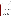#### B1.1 Stage 1 - Accuracy

The first stage of this verification test will evaluate the accuracy of the measurements made by the multi-parameter water monitors plumbed to a recirculating pipe loop. The pipe loop, that is 100 feet long and consists of ductile iron pipe that is six inches in diameter, will contain approximately 240 gallons of Cincinnati water with a flow rate of approximately 1 ft/sec, and have a residual/free chlorine concentration of approximately 1 mg/L. The accuracy of the monitors will be evaluated by comparing each of their measurements to the result for the same target analytes/water quality parameters generated by a standard laboratory reference method. A reference sample will be collected every hour during a 4 hour testing period and analyzed within the holding times required by each standard reference method. Each multi-parameter water monitor will be connected to the pipe loop simultaneously via a multi-spigot tap that ensures that each multi-parameter water monitor will be making measurements on very similar water. Each technology will be plumbed separately to the multi-spigot tap to ensure that there is no possibility of one technology affecting the performance of another. One spigot will be dedicated to collecting the reference samples, and the rest will be connected to the multi-parameter water monitors. The water quality parameters measured made by each monitor will be determined by each vendor and agreed to by the Verification Test Coordinator.

It would be difficult to simulate the characteristics of every municipal distribution system in order to verify the performance of these monitors under multiple water quality conditions. However, Stage 1 testing will attempt to address this issue by changing two key variables, pH and temperature. The testing described above, consisting of four hours of continuous analysis with reference sampling performed every hour, will be done using five different sets of pH and temperature conditions. Three sets of conditions will involve varying only the pH. Those sets will consist of a pH of approximately seven, eight (T&E Facility ambient), and nine and a temperature between 16 to 18 °C (T&E Facility ambient). Two other sets will include changing the water temperature to between 10 and  $12^{\circ}$ C and perform testing at pHs of approximately eight and nine. Prior to each testing period with unique conditions, the water in the pipe loop will be equilibrated until the pH and temperature is at the desired level (approximately 12 hours), as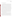determined by the standard reference methods.

#### B1.2 Stage 2 - Contaminant Injection

The second stage of the verification test will test the responsiveness of the monitors to changes in water quality parameters by the injection of contaminants into the pipe loop. Three contaminants will be injected (in duplicate) into the recirculating pipe loop containing ambient Cincinnati water (pH ~8, 16 to 18 °C). The first injection will consist of a solution of aldicarb and the second injection will be a solution of arsenic trioxide. Each injection solution will be prepared in two gallons of pipe loop water at a concentration adequate to make the pipe loop water approximately 10 mg/L in each contaminant. The content of the third injection will consist of a either a solution of non-pathogenic *E. Coli* bacteria or a solution of nicotine. The bacteria injection would be preferred if the T&E Facility determines that its injection is allowable under the waste water regulations by which they must abide. A decision in that regard will be made just prior to the time of injection. If the bacteria injection is not approved by the T&E Facility, a two gallon solution of nicotine at a concentration adequate to make the pipe loop water 10 mg/L will be prepared for injection. For all three sets of injections, a reference sample will be collected prior to the injections and again three, 15, and 60 minutes after the injection. The difference between the two results will indicate the approximate change in water quality caused by the injected contaminant which should be measured by each of the multi-parameter water quality monitors being tested. For the monitors that are not designed to operate continuously, the verification staff will make triplicate measurements using those monitors on an aliquot of the same samples collected for the reference analyses.

Each contaminant solution injected will be prepared in a volume of two gallons. One concentration of each contaminant will be injected. After each injection, the pipe loop will be allowed to re-equilibrate so that each multi-parameter water monitor is measuring a steady baseline (approximately three days). Each water quality parameter may not be exactly the same as pre-injection conditions, but the return to a steady baseline will allow for any change in parameters due to the injection of a contaminant to be detected. National Institute of Standards and Technology (NIST) traceable standards (when available) will be used for preparation of the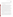injected contaminant solutions. These solutions will be prepared by dissolving the standards into pipe loop water and diluting the solutions to the appropriate concentrations. Battelle QA staff will audit the gravimetric preparation of these solutions as well as any necessary dilutions.

#### B1.3 Stage 3-Extended Deployment

The third stage of this verification test will evaluate the performance of the multiparameter water monitors during a deployment 45-60 days in length. During this time, the multiparameter water monitors will operate continuously while connected to the recirculating pipe loop containing ambient Cincinnati water. The monitors will receive the minimum amount of maintenance required (if the vendor does not operate and maintain the monitor, a daily maintenance checklist provided by the vendor will be carried out by Battelle). No matter if the vendors or Battelle are performing the maintenance and operation of the monitors, all maintenance activities will be documented by those performing the work in the project laboratory record book. For the monitors that are not designed to operate continuously, the vendor or trained Battelle technical staff will make one measurement per day (in triplicate). These monitors will also receive the minimum maintenance suggested by the vendor. In order to track the performance of the monitors with respect to the reference results, reference samples will be collected and analyzed for the selected parameters at least once per day for the duration of Stage 3. If Battelle staff are operating and maintaining the monitor and there is a problem during the extended portion of the verification test, as with any other portion of the verification test, the Battelle technical staff will troubleshoot the problem to the best of their ability and then contact the vendor for assistance.

The final phase of Stage 3 will consist of a thorough evaluation of performance after the extended placement. This will be done in two steps. First, a reference sample will be collected every hour during a four-hour analysis period and analyzed within the holding times required by the standard reference methods. Second, the responsiveness of the monitors will be evaluated by repeating injection number one (aldicarb) from Stage 2 in duplicate. During this final component of contaminant injections, reference samples will be collected as they were during Stage 2.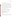#### B1.4 Stage 4 - Contaminant Identification (as applicable)

The Stage 4 testing is a component of the verification test that will evaluate the performance of the monitors that have been designed to, not just identify the occurrence of the injection of a contaminant into the distribution based on the observed change in the water quality parameters, but to identify what contaminant was injected. No reference measurements will be made during this optional stage of the test because the two parameters being evaluated are the ability of the monitors to report whether or not an injection event was detected and if so, was the injected contaminant identified correctly. This portion of the test will be done by interfacing the monitors with this capability to a straight pipe made from ductile iron that is three inches in diameter and 1,500 feet in length. The contaminants listed in Table 1 will be individually injected into the pipe so the concentration of each contaminant in the pipe will become approximately 10 mg/L. Each injection will be done in duplicate and all injections will be done blindly so that the monitor operator does not know what contaminant is being injected.

#### **Table 1. Injected Contaminants for Identification**

| <b>Contaminants to be Injected</b>                                                                                                                                                                                                                        | <b>Approximate</b><br><b>Concentration in</b><br><b>Pipe Water</b> |
|-----------------------------------------------------------------------------------------------------------------------------------------------------------------------------------------------------------------------------------------------------------|--------------------------------------------------------------------|
| Aldicarb, arsenic trioxide, colchicine, carbaryl,<br>dichlorvos, dicamba, E. Coli bacteria <sup>1</sup> , glyphosate,<br>lead nitrate, malathion, mercuric chloride, methanol,<br>nicotine, phorate, potassium ferricyanide, and sodium<br>fluoroacetate. | $10 \text{ mg/L}$                                                  |

<sup>1</sup>If T&E Facility determines *E. Coli* may be injected into the pipe loop.

B1.5 Statistical Analysis

#### *B1.5.1 Percent Difference*

Results from the multi-parameter water monitors being verified in stages one through three will be compared to the results obtained from analysis of a grab sample by the reference method. Because no reference samples will be analyzed during Stage 4, a percent difference calculation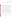would not be appropriate. The results for each sample will be recorded, and the accuracy will be expressed in terms of the percent difference (%D), as calculated from the following equation:

$$
\%D = \frac{C_R - d}{C_R} \times 100\%
$$

where  $C_R$  is the concentration determined by the reference method and *d* is the average measurement from the monitor across the entire time the reference sample was collected. This calculation will be performed for each reference sample analysis for each of the parameters by each monitor. Ideally, if the monitor and reference method measurements are the same, there would be a percent difference of zero percent. Readings of pH will be converted to the hydronium ion concentration, and temperature readings will be converted to absolute units (Kelvin) prior to making this calculation. Percent difference will be assessed independently for each monitor provided by a vendor to determine inter-unit reproducibility. A plot of the continuous measurements will be reported with the reference results added as individual data points.

To evaluate the responsiveness of the multi-parameter water monitor readings to contaminant injections, the pre- and post-injection reference samples will be compared to the monitor readings using the percent difference calculation described earlier in this section. Again, small percent differences will indicated good agreement between the monitors and the reference methods. The data collected during the extended deployment data will also be compared with the reference samples in a similar way. In addition, a plot of the continuous measurements during the injection of the contaminants as well as during the extended deployment will be reported with the reference results added as individual data points to clearly show the effect each injection had on the water chemistry of the water in the pipe loop and the stability of the monitors during noninjection periods of operation.

#### *B1.5.2 False Positive/False Negative Identification Rate*

During Stage 4, Contaminant Identification, two assessments will be reported upon the injection of each contaminant: 1) whether or not an injection event was detected, and 2) if the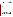injection was detected, was the injected contaminant identified correctly. For each of these results categories, the percentage of false positive and negative results out of the total number of injections will be reported.

#### *B1.5.3 Inter-Unit Reproducibility*

The results obtained from identical units of each monitor will be compiled independently for each analyzer and compared to assess inter-unit reproducibility. The results will be interpreted using a *t*-test, or other appropriate comparison, to assess whether significant differences exist between the units tested. One evaluation will be a regression analysis and plot of unit one versus unit two from each vendor. A slope of unity would indicate ideal inter-unit comparability.

#### B1.6 Reporting

The statistical comparisons described above will be conducted separately for each of the monitors being tested, and information on the additional performance parameters such as ease of use, level of maintenance, calibration, and set-up/demobilization will be compiled and reported. Separate verification reports will be prepared for each monitor that was tested. Each report will show separate verification results from the duplicate monitors undergoing testing, along with calculations of the inter-unit reproducibility of the technology. For each test, the verification report will present the test procedures and test data, as well as the results of the statistical evaluation of those data.

All interaction with the monitors (such as during maintenance, cleaning, and calibration) will be documented at the time of the test and reported. In addition, descriptions of the datarecording procedures, use of vendor-supplied proprietary software, consumables used, and required reagents will be presented in the report. The verification report will briefly describe the ETV program, the AMS Center, and the procedures used in verification testing. These sections will be common to each verification report. The results of the verification test will then be stated quantitatively, without comparison to any other technology tested or comment on the acceptability of the technology's performance.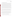#### **B2 REFERENCE SAMPLE COLLECTION**

As described above, Stage 1 testing of the multi-parameter water monitors will consist of five separate four-hour evaluation periods. The water in the recirculating pipe loop will have different combinations of pH and temperature during each of these evaluation periods. Battelle technical staff will collect the reference samples during all stages of the verification test. The samples will be collected following guidelines set in each standard reference method listed in Section B4. The methods describe the appropriate sampling containers, preservation techniques, and maximum holding times. With the first sample being collected at the start of the evaluation period, one reference sample of adequate volume to perform each reference analysis will be collected from the reference sample spigot every hour during each of these evaluation periods for a total of five reference samples will be collected during each period. One of these five reference samples will be split into two samples and analyzed as a duplicate and one American Standard Testing and Materials Type II deionized (ASTM DI) water blank will be analyzed as a laboratory blank.

During Stage 2, reference samples will be collected before each injection of contaminants and then at three, 15, and 60 minutes post-injection. Therefore, four grab samples will be collected for each contaminant injection. For each injection, one of the four reference samples will be split and analyzed as a duplicate and one DI water blank will be analyzed as a laboratory blank.

Stage 3 reference samples will be collected daily for the duration of the extended deployment. Each week, one sample will be split and analyzed as a duplicate and one DI water blank will be analyzed as a laboratory blank. The samples will be treated as specified for Stage 1 testing. The optional Stage 4 testing will not involve reference sample analysis. Table 2 summarizes the reference samples to be collected during each stage of the verification test.

#### **B3 SAMPLE HANDLING AND CUSTODY REQUIREMENTS**

Sample custody will be documented throughout collection, shipping (if necessary), and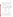analysis of the reference samples. Sample chain-of-custody procedures will be in accordance with the Battelle SOP ASAT.I-009-00 Footnote 3 Sample Chain of Custody (Draft)<sup>3</sup>. The chain-ofcustody form summarizes the samples collected and analyses requested. The chain-of-custody form will track sample release from the sampling location to the analysis laboratory. Chain-ofcustody forms will be used regardless of whether the samples are being transferred within the

| <b>Stage</b>   | <b>Number</b><br>of<br><b>Sampling</b><br><b>Periods</b> | <b>Sampling</b><br><b>Period</b> | <b>Reference</b><br><b>Sample</b><br><b>Frequency</b>                            | <b>Number of</b><br><b>Reference</b><br><b>Samples Per</b><br><b>Sampling</b><br><b>Period</b> | QA<br><b>Analyses</b><br>per<br><b>Sampling</b><br><b>Period</b> | <b>Total</b><br><b>Reference</b><br><b>Samples per</b><br><b>Sampling</b><br><b>Period</b><br><b>Including</b><br><b>QA</b> analyses |  |  |  |
|----------------|----------------------------------------------------------|----------------------------------|----------------------------------------------------------------------------------|------------------------------------------------------------------------------------------------|------------------------------------------------------------------|--------------------------------------------------------------------------------------------------------------------------------------|--|--|--|
| $\mathbf{1}$   | 5                                                        | 4 hours                          | One at start<br>and one<br>every hour<br>therefafter                             | 5                                                                                              | 1 duplicate<br>1 DI water<br>blank                               | 7                                                                                                                                    |  |  |  |
| $\overline{2}$ | 6                                                        | 1 injection                      | 1 pre-<br>injection<br>$1 \t@ 3, 15,$<br>and 60<br>minutes<br>post-<br>injection | $\overline{4}$                                                                                 | 1 duplicate<br>1 DI water<br>blank                               | 6                                                                                                                                    |  |  |  |
| 3              | $\mathbf{1}$                                             | Several<br>Weeks                 | once daily                                                                       | ~20                                                                                            | 1 duplicate<br>and 1 DI<br>water blank<br>each week              | $-42$                                                                                                                                |  |  |  |
| $\overline{4}$ | No reference analyses to be performed.                   |                                  |                                                                                  |                                                                                                |                                                                  |                                                                                                                                      |  |  |  |

|  |  | <b>Table 2 Description of Reference Analyses</b> |  |
|--|--|--------------------------------------------------|--|
|--|--|--------------------------------------------------|--|

T&E Facility or to an external location. Each chain-of-custody form will be signed by the person relinquishing samples once that person has verified that the chain-of-custody form is accurate. The original sample chain-of-custody forms accompany the samples; the shipper will keep a copy.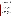Upon receipt at the laboratory, chain-of-custody forms will be signed by the person receiving the samples once that person has verified that all samples identified on the chain-of-custody forms are present in the shipping container. Any discrepancies will be noted on the form and the sample receiver will immediately contact the Verification Test Coordinator to report missing, broken, or compromised samples. Copies of all chain-of-custody forms will be delivered to the Verification Test Coordinator and maintained with the test records.

#### **B4 LABORATORY REFERENCE METHODS**

Table 3 provides the standard laboratory methods that will be used for the sample collection and reference analyses during this verification test. Also included in the table is each method's detection limit, method of preservation, and maximum holding time. The collection of the reference samples will be the responsibility of Battelle technical staff while the analyses will be performed by T&E Facility technical staff. The T&E Facility is responsible for providing calibrated instrumentation, performing all method QA/QC, and providing calibration records for any instrumentation used. The T&E Facility will be required to provide Battelle all reference sample results immediately upon the analysis of the reference samples. The laboratory reference method for oxidation-reduction potential is known to be biased when compared with the same measurement done in a flowing pipe. The reference method will still be used, but the results will be interpreted in that context.

#### **B5 QUALITY CONTROL AUDITS AND REQUIREMENTS**

As described in Section B2, blank and duplicate samples will be required to be analyzed by each standard reference method with each set of reference samples collected. The blank reference method results are required to be less than the method detection limit (except for temperature and pH) for each reference method and the duplicate measurements will be required to be within the acceptable tolerances provided in Table 3. Samples producing results not meeting these requirements shall be reanalyzed by the reference method. If the results are still outside the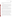required tolerance, the reference instrument will be recalibrated and the reference samples reanalyzed. If the outlying results persist, the repeat of the appropriate parts of the verification test may be considered.

#### **B6 INSTRUMENT/EQUIPMENT TESTING, INSPECTION, AND MAINTENANCE**

The instruments used for the reference analyses will be tested and inspected as per the standard operating procedures of the T&E Facility or the standard methods being used to make each measurement. If Battelle operates and maintains the monitors, it will be done as directed by the vendor. Otherwise, operation and maintenance will be the responsibility of the vendor.

#### **B7 INSTRUMENT CALIBRATION AND FREQUENCY**

The instruments used for the reference analyses will be calibrated per the standard reference methods being used to make each measurement or the standard operating procedures of the analysis laboratory. If the monitor is being operated by Battelle, the vendor will provide Battelle technical staff with a checklist of tasks to be completed daily to properly maintain each monitor. All calibrations performed will be documented by Battelle in the project laboratory record book.

Calibration of the multi-parameter water monitors will be done for each measured parameter as often as suggested by the vendor. This calibration will use NIST-traceable standards when applicable. Vendors may choose to supply the necessary calibration solutions and devices specific to the monitors being verified. Balances and pipettes used during injection solution preparation will be maintained and calibrated as required by the T&E Facility standard operating procedures which will be reviewed by the Battelle Quality Manager prior to the verification test.

#### **B8 INSPECTION/ACCEPTANCE OF SUPPLIES AND CONSUMABLES**

All materials, supplies, and consumables will be ordered by the Verification Test Coordinator or designee. Where possible, Battelle will rely on sources of materials and consumables that have been used previously as part of ETV verification testing without problems. Battelle will also rely on previous experience or recommendations from T&E Facility technical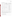|                                     |                             | <b>Method</b><br><b>Detection</b>    |                     | <b>Holding</b>          | Acceptable            |
|-------------------------------------|-----------------------------|--------------------------------------|---------------------|-------------------------|-----------------------|
| <b>Parameter</b>                    | <b>Method</b>               | <b>Limits</b>                        | <b>Preservation</b> | <b>Time</b>             | <b>Tolerance</b>      |
| Ammonia                             | EPA 350.1 <sup>4</sup>      | $0.01$ mg/L as<br>CaCO <sub>3</sub>  | $H_2SO_4$ , pH<2    | 28 d @<br>$4^{\circ}$ C | 25%                   |
| Calcium                             | EPA 215.1 <sup>5</sup>      | $0.01$ mg/L                          | $HNO3$ , pH<2       | 6 mo @<br>$4^{\circ}C$  | 25%                   |
| Conductivity                        | SM 2510 <sup>6</sup>        | $2 \mu m$ ho                         | none                | Immediate<br>analysis   | 25%                   |
| Dissolved Oxygen                    | SM 4500-O <sup>7</sup>      | $0.2 \text{ mg/L}$                   | none                | Immediate<br>analysis   | 25%                   |
| Free Chlorine                       | $SM$ 4500-Cl-G <sup>8</sup> | $0.01$ mg/L as<br>Cl <sub>2</sub>    | none                | Immediate<br>analysis   | 25%                   |
| Monochloramine                      | SM 4500-Cl-G <sup>8</sup>   | $0.01$ mg/L as<br>NH <sub>2</sub> Cl | none                | Immediate<br>analysis   | 25%                   |
| Oxidation<br>Potential <sup>1</sup> | SM 2580-B <sup>9</sup>      | <b>NA</b>                            | none                | Immediate<br>analysis   | 25%                   |
| pH                                  | EPA 150.1 <sup>10</sup>     | <b>NA</b>                            | none                | Immediate<br>analysis   | $\pm 0.3$ pH<br>units |
| Temperature                         | EPA 170.1 <sup>11</sup>     | <b>NA</b>                            | none                | Immediate<br>analysis   | $\pm 1$ °C            |
| <b>Total Alkalinity</b>             | EPA 310.1 <sup>12</sup>     | $20 \text{ mg/L}$                    | none                | 14 d @<br>$4^{\circ}C$  | 25%                   |
| <b>Total Organic</b><br>Carbon      | EPA 415.1 <sup>13</sup>     | $0.01$ mg/L                          | $H_2SO_4$ , pH<2    | 28 d @<br>$4^{\circ}C$  | 25%                   |
| Turbidity                           | EPA 180.1 <sup>14</sup>     | $0.067$ ntu                          | none                | 48 h @<br>$4^{\circ}$ C | 25%                   |

#### **Table 3. Reference Methods**

<sup>1</sup>The reference method for the measurement of oxidation-reduction potential is known to be biased due to the difference in potential in a flowing pipe to that measured from the grab sample.

staff to guide selection of manufacturers and materials. The manufacturer's criteria for acceptance/purity will be required to be met.

#### **B9 NON-DIRECT MEASUREMENTS**

Data published previously in the scientific literature will not be used during this verification test.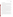#### **B10 DATA MANAGEMENT**

Various types of data will be acquired and recorded electronically or manually by Battelle technical staff during this verification test. Table 4 summarizes the type of data to be recorded. All data and observations for the operation of the monitors will be documented by vendors or Battelle technical staff on data sheets or in laboratory record books. Results from the laboratory reference instruments will be compiled by T&E Facility staff in electronic format and submitted to Battelle immediately upon obtaining results.

Records received by or generated by any of the Battelle or T&E Facility technical staff during the verification test will be reviewed by a Battelle staff member within two weeks of receipt or generation, respectively, before the records are used to calculate, evaluate, or report verification results. If a Battelle staff member generated the record, this review will be performed by a Battelle technical staff member involved in the verification test, but not the staff member that originally received or generated the record. The review will be documented by the person performing the review by adding his/her initials and date to the hard copy of the record being reviewed. In addition, data calculations performed by Battelle or T&E Facility technical staff will be spot-checked by Battelle technical staff to ensure that calculations are performed correctly. Calculations to be checked include any statistical calculations described in this test/QA plan. The data obtained from this verification test will be compiled and reported independently for each multi-parameter water monitor. Results for multi-parameter water monitors from different vendors will not be compared with each other.

During the course of any assessment or audit, the Battelle Quality Manager will inform the technical staff of any immediate corrective action that should be taken. If serious quality problems exist, the Battelle Quality Manager is authorized to stop work. Once the assessment report has been prepared, the Verification Test Coordinator will ensure that a response is provided for each adverse finding or potential problem, and will implement any necessary follow-up corrective action. The Battelle Quality Manager will ensure that follow-up corrective action has been taken.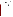| Data to Be<br><b>Recorded</b>                  | <b>Where Recorded</b>                                                                                            | <b>How Often</b><br><b>Recorded</b>                             | $\mathbf{B}\mathbf{v}$<br>Whom            | <b>Disposition of Data</b>                                                                                  |
|------------------------------------------------|------------------------------------------------------------------------------------------------------------------|-----------------------------------------------------------------|-------------------------------------------|-------------------------------------------------------------------------------------------------------------|
| Dates, times, and<br>details of test<br>events | ETV data sheets<br>and testing<br>notebook                                                                       | Start/end of test,<br>and at each change<br>of a test parameter | <b>Battelle</b><br>and<br>T&E<br>Facility | Used to<br>organize/check test<br>results; manually<br>incorporated in data<br>spreadsheets as<br>necessary |
| Calibration<br>information                     | ETV data sheets<br>and testing<br>notebook                                                                       | Prior to sample<br>preparation                                  | <b>Battelle</b>                           | Manually<br>incorporated in data<br>spreadsheets as<br>necessary                                            |
| Multi-parameter<br>water monitor<br>results    | Recorded<br>electronically by<br>each monitor and<br>then downloaded<br>to computer at the<br>close of each day. | Recorded<br>continuously.                                       | <b>Battelle</b>                           | Comma delimited<br>text files.                                                                              |
| Reference method<br>procedures                 | ETV laboratory<br>record books, or<br>data recording<br>forms                                                    | Throughout sample<br>analysis process                           | T&E<br>Facility                           | Transferred to<br>spreadsheets or<br>laboratory record<br>book                                              |

**Table 4. Summary of Data Recording Process**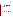#### **SECTION C**

#### **ASSESSMENT AND OVERSIGHT**

#### **C1 ASSESSMENTS AND RESPONSE ACTIONS**

Every effort will be made in this verification test to anticipate and resolve potential problems before the quality of performance is compromised. One of the major objectives of the test/QA plan is to establish mechanisms necessary to ensure this. Internal quality control measures described in this test/QA plan, which is peer reviewed by a panel of outside experts, implemented by the technical staff and monitored by the Verification Test Coordinator, will give information on data quality on a day-to-day basis. The responsibility for interpreting the results of these checks and resolving any potential problems resides with the Verification Test Coordinator. Technical staff have the responsibility to identify problems that could affect data quality or the ability to use the data. Any problems that are identified will be reported to the Verification Test Coordinator, who will work to resolve any issues. Action will be taken to control the problem, identify a solution to the problem, and minimize losses and correct data, where possible. Independent of T&E Facility and EPA QA activities, Battelle will be responsible for ensuring that the following audits are conducted as part of this verification test.

#### C1.1 Performance Evaluation Audits

A PE audit will be conducted to assess the quality of the reference measurements made in this verification test. Each type of reference measurement will be compared with an independent instrument or a NIST-traceable standard that is independent of those used during the testing as part of the PE audit. The results of the PE audit must be within the acceptable tolerances provided in Table 3. If the results do not meet this requirement, they will be repeated. If the outlying results persist, a change in reference instrument, and a repeat of the PE audit may have to be considered. This audit will be performed once at the start of the verification test, and will be the responsibility of the Verification Test Coordinator or designee.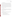#### C1.2 Technical Systems Audits

The Battelle Quality Manager will perform a technical systems audit (TSA) at least once during this verification test. The purpose of this audit is to ensure that the verification test is being performed in accordance with the AMS Center QMP<sup>1</sup>, this test/QA plan, published reference methods, and any SOPs used by the T&E Facility. In this audit, the Battelle Quality Manager, or designee, may review the reference methods used, compare actual test procedures to those specified or referenced in this plan, and review data acquisition and handling procedures. A TSA report will be prepared, including a statement of findings and the actions taken to address any adverse findings. The EPA AMS Center Quality Manager will receive a copy of Battelle's TSA report. At EPA's discretion, EPA QA staff may also conduct an independent on-site TSA during the verification test. The TSA findings will be communicated to technical staff at the time of the audit and documented in a TSA report.

#### C1.3 Data Quality Audits

The Battelle Quality Manager will audit at least 10% of the verification data acquired in the verification test. The Battelle Quality Manager will trace the data from initial acquisition, through reduction and statistical comparisons, to final reporting. All calculations performed on the data undergoing the audit will be checked.

#### C1.4 QA/QC Reporting

Each assessment and audit will be documented in accordance with Section 3.3.4 of the AMS Center QMP<sup>1</sup>. The results of the technical systems audit will be submitted to EPA. Assessment reports will include the following:

- Identification of any adverse findings or potential problems
- Response to adverse findings or potential problems
- Recommendations for resolving problems
- Confirmation that solutions have been implemented and are effective
- Citation of any noteworthy practices that may be of use to others.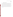#### **C2 REPORTS TO MANAGEMENT**

The Battelle Quality Manager, during the course of any assessment or audit, will identify to the technical staff performing experimental activities any immediate corrective action that should be taken. If serious quality problems exist, the Battelle Quality Manager is authorized to stop work. Once the assessment report has been prepared, the Verification Test Coordinator will ensure that a response is provided for each adverse finding or potential problem and will implement any necessary follow-up corrective action. The Battelle Quality Manager will ensure that follow-up corrective action has been taken. The test/QA plan and final report are reviewed by EPA AMS Center quality assurance staff and the EPA AMS Center program management staff. Upon final review and approval, both documents will then be posted on the ETV website (www.epa.gov/etv).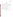#### **SECTION D**

#### **DATA VALIDATION AND USABILITY**

#### **D1 DATA REVIEW, VALIDATION, AND VERIFICATION REQUIREMENTS**

The key data review requirements for the verification test are the collection of QC samples as outlined in the test/QA plan, a comparison of field data sheet comments against final data to flag any suspect data, and a review of final data to resolve any questions about apparent outliers. The QA audits, as described within this document are designed to assure the quality of this data.

#### **D2 VALIDATION AND VERIFICATION METHODS**

Section C1, the Assessment and Response section, provides a thorough description of the validation safeguards employed for this verification test.

### **D3 RECONCILIATION WITH USER REQUIREMENTS**

The data will be compiled into an ETV verification report. The report will be submitted to EPA in Word Perfect and Adobe pdf format and subsequently posted on the ETV website.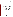#### **SECTION E**

#### **REFERENCES**

- 1. Quality Management Plan for the ETV Advanced Monitoring Systems Center, Version 5.0, U.S. EPA Environmental Technology Verification Program, Battelle, Columbus, Ohio, March 2004.
- 2. "Environmental Technology Verification Program Quality Management Plan", December 2002, EPA/600/R-03/021.
- 3. Battelle SOP ASAT I-009. Footnote 3, *Sample Chain of Custody*, Draft June 2004.
- 4. U.S. EPA, EPA Method 350.1, Nitrogen, Ammonia in *Methods for Chemical Analysis of Water and Wastes*, EPA/600/4-79/020, March 1983.
- 5. U.S. EPA, EPA Method 215.1, Calcium in *Methods for Chemical Analysis of Water and Wastes*, EPA/600/4-79/020, March 1983.
- 6. American Public Health Association, et al., SM 2510 Conductivity in *Standard Methods for the Examination of Water* and Wastewater. 19th Edition, Washington, D.C., 1997.
- 7. American Public Health Association, et al., SM 4500-O Dissolved Oxygen in *Standard Methods for the Examination of Water and Wastewater*. 19th Edition, Washington, D.C., 1997.
- 8. American Public Health Association, et al., SM 4500-G Residual Chlorine in *Standard Methods for the Examination of Water and Wastewater*. 19th Edition, Washington, D.C., 1997.
- 9. American Public Health Association, et al., SM 2580-B Electrochemical Potential in *Standard Methods for the Examination of Water and Wastewater*. 19th Edition, Washington, D.C., 1997.
- 10. U.S. EPA, EPA Method 150.1, pH in *Methods for Chemical Analysis of Water and Wastes*, EPA/600/4-79/020, March 1983.
- 11. U.S. EPA, EPA Method 170.1, Temperature in *Methods for Chemical Analysis of Water and Wastes*, EPA/600/4-79/020, March 1983.

12. U.S. EPA, EPA Method 310., Alkalinity in *Methods for Chemical Analysis of Water and Wastes*, EPA/600/4-79/020, March 1983.

13. U.S. EPA, EPA Method 415.1, Total Organic Carbon in *Methods for Chemical Analysis of Water and Wastes*, EPA/600/4-79/020, March 1983.